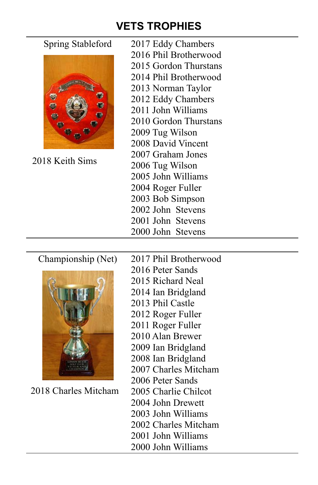# **VETS TROPHIES**



2018 Keith Sims

- Spring Stableford 2017 Eddy Chambers 2016 Phil Brotherwood
	- 2015 Gordon Thurstans
	- 2014 Phil Brotherwood
	- 2013 Norman Taylor
	- 2012 Eddy Chambers
	- 2011 John Williams
	- 2010 Gordon Thurstans
	- 2009 Tug Wilson
	- 2008 David Vincent
	- 2007 Graham Jones
		- 2006 Tug Wilson
	- 2005 John Williams
	- 2004 Roger Fuller
	- 2003 Bob Simpson
	- 2002 John Stevens
	- 2001 John Stevens
	- 2000 John Stevens



2018 Charles Mitcham

- Championship (Net) 2017 Phil Brotherwood
	- 2016 Peter Sands
	- 2015 Richard Neal
	- 2014 Ian Bridgland
	- 2013 Phil Castle
	- 2012 Roger Fuller
	- 2011 Roger Fuller
	- 2010 Alan Brewer
	- 2009 Ian Bridgland
	- 2008 Ian Bridgland
	- 2007 Charles Mitcham
	- 2006 Peter Sands
	- 2005 Charlie Chilcot
		- 2004 John Drewett
		- 2003 John Williams
	- 2002 Charles Mitcham
	- 2001 John Williams
	- 2000 John Williams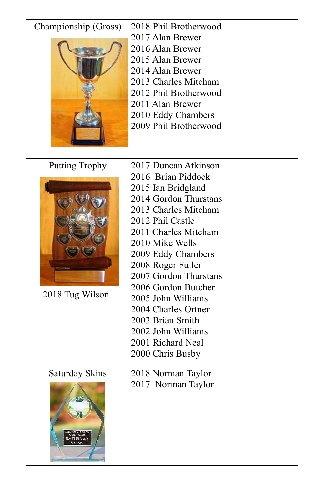## Championship (Gross) 2018 Phil Brotherwood



2017 Alan Brewer 2016 Alan Brewer 2015 Alan Brewer 2014 Alan Brewer 2013 Charles Mitcham 2012 Phil Brotherwood 2011 Alan Brewer 2010 Eddy Chambers 2009 Phil Brotherwood



2018 Tug Wilson

Putting Trophy 2017 Duncan Atkinson

- 2016 Brian Piddock
- 2015 Ian Bridgland
- 2014 Gordon Thurstans
- 2013 Charles Mitcham
- 2012 Phil Castle
- 2011 Charles Mitcham
- 2010 Mike Wells
- 2009 Eddy Chambers
- 2008 Roger Fuller
- 2007 Gordon Thurstans
- 2006 Gordon Butcher
- 2005 John Williams
- 2004 Charles Ortner
- 2003 Brian Smith
- 2002 John Williams
- 2001 Richard Neal
- 2000 Chris Busby

Saturday Skins 2018 Norman Taylor 2017 Norman Taylor

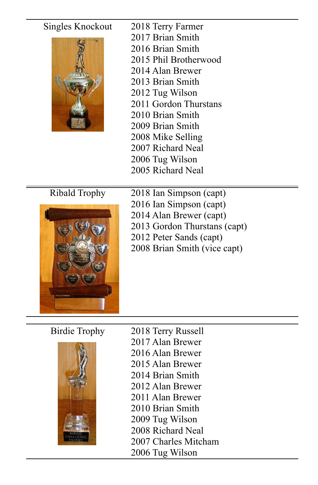# Singles Knockout 2018 Terry Farmer 2017 Brian Smith 2016 Brian Smith 2015 Phil Brotherwood 2014 Alan Brewer 2013 Brian Smith 2012 Tug Wilson 2011 Gordon Thurstans 2010 Brian Smith 2009 Brian Smith 2008 Mike Selling 2007 Richard Neal 2006 Tug Wilson 2005 Richard Neal Ribald Trophy 2018 Ian Simpson (capt) 2016 Ian Simpson (capt) 2014 Alan Brewer (capt)



2013 Gordon Thurstans (capt) 2012 Peter Sands (capt) 2008 Brian Smith (vice capt)



Birdie Trophy 2018 Terry Russell 2017 Alan Brewer 2016 Alan Brewer 2015 Alan Brewer 2014 Brian Smith 2012 Alan Brewer 2011 Alan Brewer 2010 Brian Smith 2009 Tug Wilson 2008 Richard Neal 2007 Charles Mitcham 2006 Tug Wilson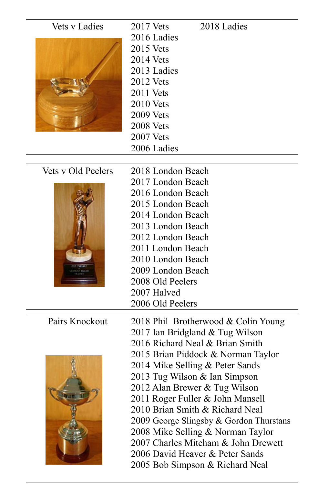| Vets y Ladies | 2017 Vets        | 2018 Ladies |
|---------------|------------------|-------------|
|               | 2016 Ladies      |             |
|               | $2015$ Vets      |             |
|               | $2014$ Vets      |             |
|               | 2013 Ladies      |             |
|               | 2012 Vets        |             |
|               | 2011 Vets        |             |
|               | $2010$ Vets      |             |
|               | <b>2009 Vets</b> |             |
|               | <b>2008 Vets</b> |             |
|               | $2007$ Vets      |             |
|               | 2006 Ladies      |             |
|               |                  |             |

## Vets v Old Peelers



| lets y Old Peelers | 2018 London Beach                   |
|--------------------|-------------------------------------|
|                    | 2017 London Beach                   |
|                    | 2016 London Beach                   |
|                    | 2015 London Beach                   |
|                    | 2014 London Beach                   |
|                    | 2013 London Beach                   |
|                    | 2012 London Beach                   |
|                    | 2011 London Beach                   |
|                    | 2010 London Beach                   |
|                    | 2009 London Beach                   |
|                    | 2008 Old Peelers                    |
|                    | 2007 Halved                         |
|                    | 2006 Old Peelers                    |
|                    |                                     |
| Pairs Knockout     | 2018 Phil Brotherwood & Colin Young |
|                    | 2017 Ian Bridgland & Tug Wilson     |
|                    | 2016 Richard Neal & Brian Smith     |
|                    | 2015 Brian Piddock & Norman Taylor  |
|                    | 2014 Mike Selling & Peter Sands     |
|                    |                                     |



- 2013 Tug Wilson & Ian Simpson
- 2012 Alan Brewer & Tug Wilson
- 2011 Roger Fuller & John Mansell
- 2010 Brian Smith & Richard Neal
- 2009 George Slingsby & Gordon Thurstans
- 2008 Mike Selling & Norman Taylor
- 2007 Charles Mitcham & John Drewett
- 2006 David Heaver & Peter Sands
- 2005 Bob Simpson & Richard Neal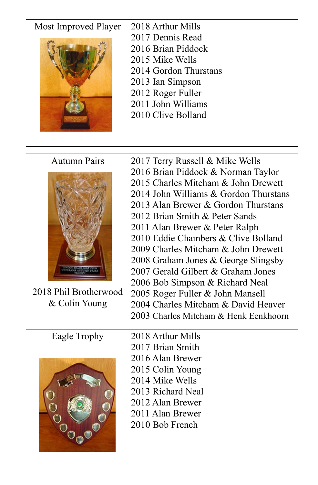## Most Improved Player 2018 Arthur Mills



- 2017 Dennis Read
- 2016 Brian Piddock
- 2015 Mike Wells
- 2014 Gordon Thurstans
- 2013 Ian Simpson
- 2012 Roger Fuller
- 2011 John Williams
- 2010 Clive Bolland



2018 Phil Brotherwood & Colin Young

Autumn Pairs 2017 Terry Russell & Mike Wells 2016 Brian Piddock & Norman Taylor 2015 Charles Mitcham & John Drewett 2014 John Williams & Gordon Thurstans 2013 Alan Brewer & Gordon Thurstans 2012 Brian Smith & Peter Sands 2011 Alan Brewer & Peter Ralph 2010 Eddie Chambers & Clive Bolland 2009 Charles Mitcham & John Drewett 2008 Graham Jones & George Slingsby 2007 Gerald Gilbert & Graham Jones 2006 Bob Simpson & Richard Neal 2005 Roger Fuller & John Mansell 2004 Charles Mitcham & David Heaver 2003 Charles Mitcham & Henk Eenkhoorn



Eagle Trophy 2018 Arthur Mills 2017 Brian Smith 2016 Alan Brewer 2015 Colin Young 2014 Mike Wells 2013 Richard Neal 2012 Alan Brewer 2011 Alan Brewer 2010 Bob French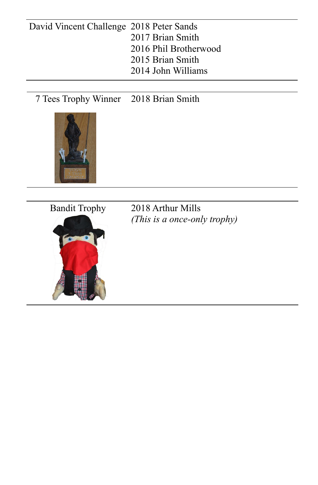# David Vincent Challenge 2018 Peter Sands 2017 Brian Smith 2016 Phil Brotherwood 2015 Brian Smith 2014 John Williams

7 Tees Trophy Winner 2018 Brian Smith